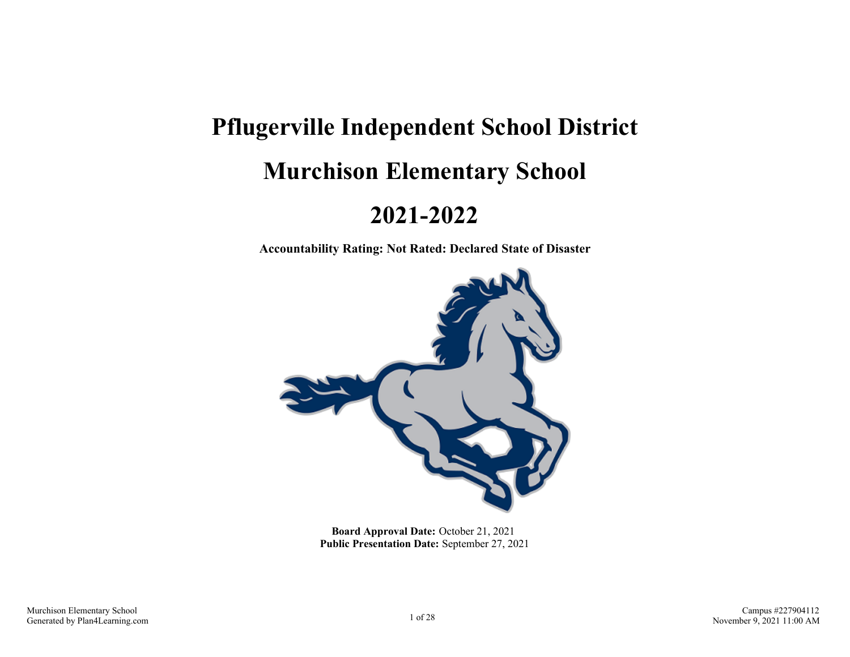# **Pflugerville Independent School District Murchison Elementary School**

## **2021-2022**

**Accountability Rating: Not Rated: Declared State of Disaster**



**Board Approval Date:** October 21, 2021 **Public Presentation Date:** September 27, 2021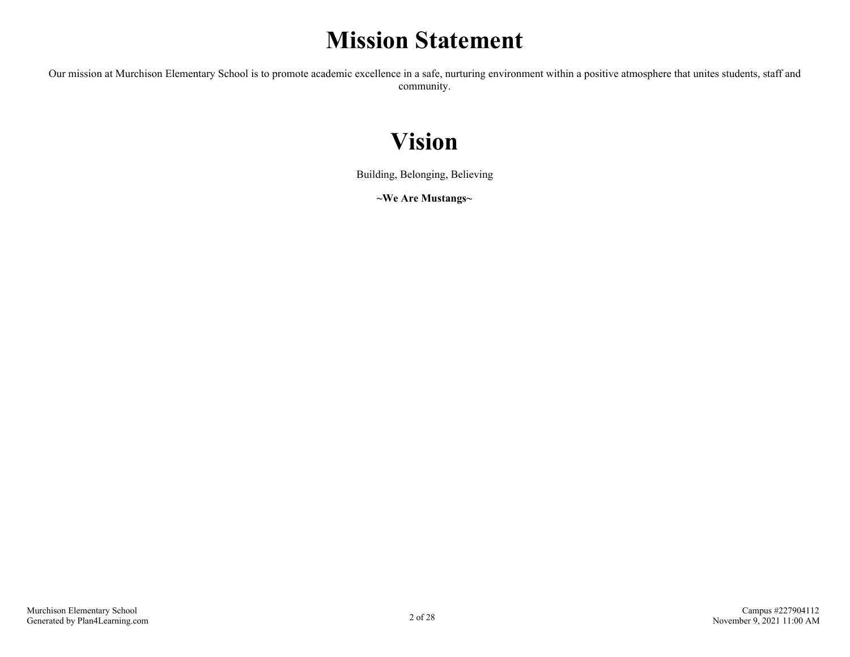## **Mission Statement**

Our mission at Murchison Elementary School is to promote academic excellence in a safe, nurturing environment within a positive atmosphere that unites students, staff and community.

## **Vision**

Building, Belonging, Believing

**~We Are Mustangs~**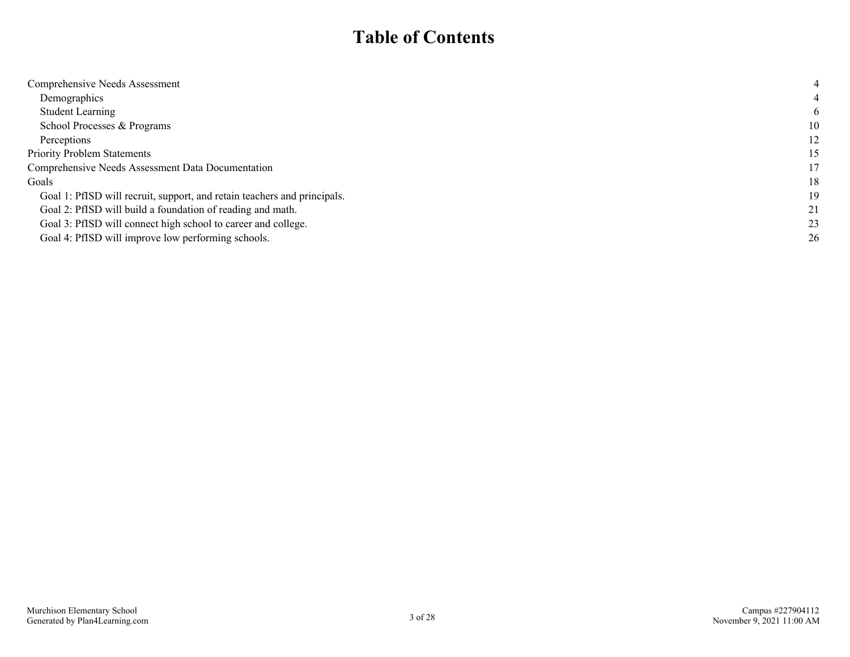### **Table of Contents**

| Comprehensive Needs Assessment                                           |    |
|--------------------------------------------------------------------------|----|
| Demographics                                                             |    |
| <b>Student Learning</b>                                                  | 6  |
| School Processes & Programs                                              | 10 |
| Perceptions                                                              | 12 |
| <b>Priority Problem Statements</b>                                       | 15 |
| Comprehensive Needs Assessment Data Documentation                        | 17 |
| Goals                                                                    | 18 |
| Goal 1: PfISD will recruit, support, and retain teachers and principals. | 19 |
| Goal 2: PfISD will build a foundation of reading and math.               | 21 |
| Goal 3: PfISD will connect high school to career and college.            | 23 |
| Goal 4: PfISD will improve low performing schools.                       | 26 |
|                                                                          |    |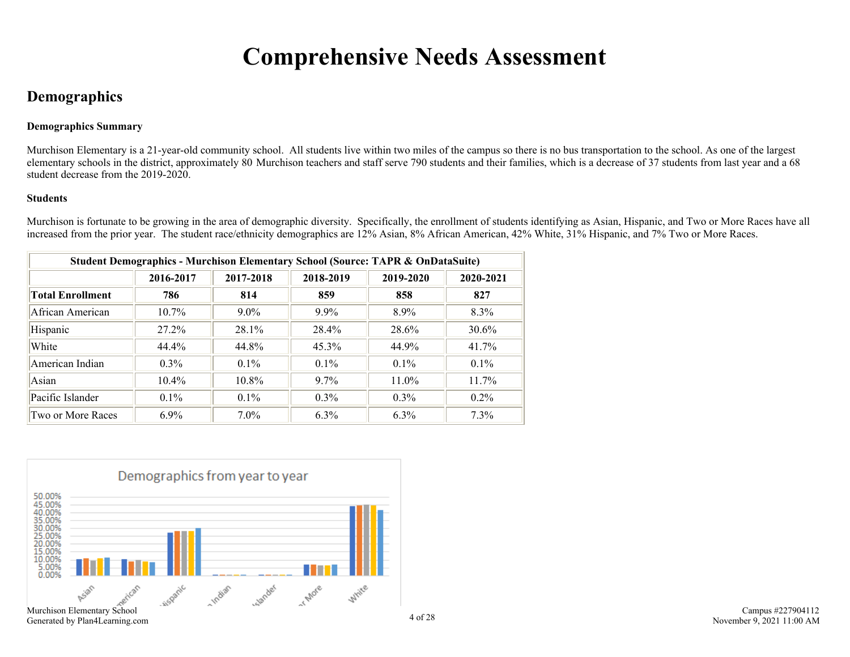## **Comprehensive Needs Assessment**

### <span id="page-3-0"></span>**Demographics**

### **Demographics Summary**

Murchison Elementary is a 21-year-old community school. All students live within two miles of the campus so there is no bus transportation to the school. As one of the largest elementary schools in the district, approximately 80 Murchison teachers and staff serve 790 students and their families, which is a decrease of 37 students from last year and a 68 student decrease from the 2019-2020.

### **Students**

Murchison is fortunate to be growing in the area of demographic diversity. Specifically, the enrollment of students identifying as Asian, Hispanic, and Two or More Races have all increased from the prior year. The student race/ethnicity demographics are 12% Asian, 8% African American, 42% White, 31% Hispanic, and 7% Two or More Races.

| <b>Student Demographics - Murchison Elementary School (Source: TAPR &amp; OnDataSuite)</b> |           |           |           |           |           |  |  |
|--------------------------------------------------------------------------------------------|-----------|-----------|-----------|-----------|-----------|--|--|
|                                                                                            | 2016-2017 | 2017-2018 | 2018-2019 | 2019-2020 | 2020-2021 |  |  |
| Total Enrollment                                                                           | 786       | 814       | 859       | 858       | 827       |  |  |
| African American                                                                           | $10.7\%$  | $9.0\%$   | $9.9\%$   | $8.9\%$   | 8.3%      |  |  |
| Hispanic                                                                                   | 27.2%     | 28.1%     | 28.4%     | 28.6%     | 30.6%     |  |  |
| White                                                                                      | 44.4%     | 44.8%     | $45.3\%$  | 44.9%     | 41.7%     |  |  |
| American Indian                                                                            | $0.3\%$   | $0.1\%$   | $0.1\%$   | $0.1\%$   | $0.1\%$   |  |  |
| Asian                                                                                      | $10.4\%$  | $10.8\%$  | $9.7\%$   | 11.0%     | 11.7%     |  |  |
| Pacific Islander                                                                           | $0.1\%$   | $0.1\%$   | $0.3\%$   | $0.3\%$   | $0.2\%$   |  |  |
| Two or More Races                                                                          | $6.9\%$   | $7.0\%$   | $6.3\%$   | 6.3%      | 7.3%      |  |  |

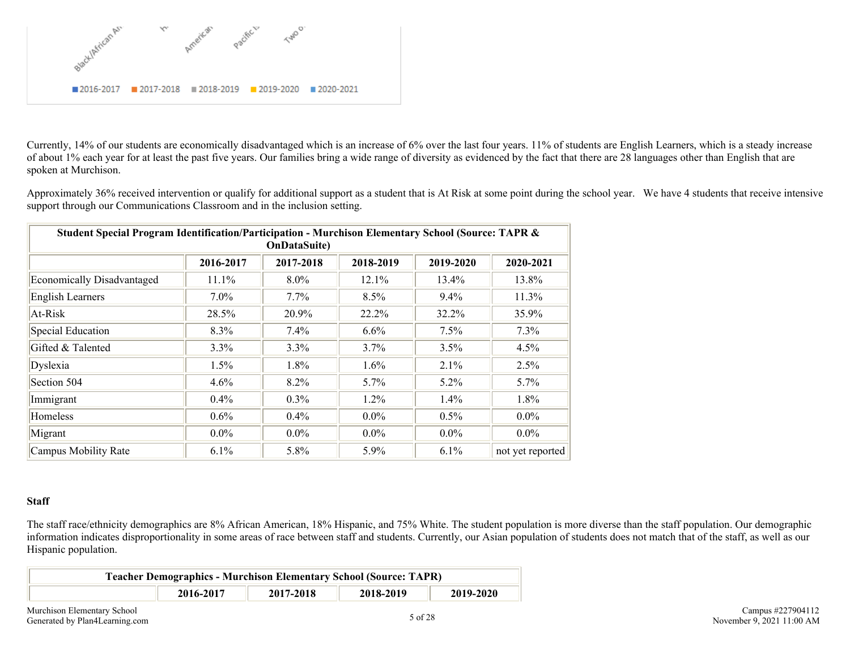

Currently, 14% of our students are economically disadvantaged which is an increase of 6% over the last four years. 11% of students are English Learners, which is a steady increase of about 1% each year for at least the past five years. Our families bring a wide range of diversity as evidenced by the fact that there are 28 languages other than English that are spoken at Murchison.

Approximately 36% received intervention or qualify for additional support as a student that is At Risk at some point during the school year. We have 4 students that receive intensive support through our Communications Classroom and in the inclusion setting.

| Student Special Program Identification/Participation - Murchison Elementary School (Source: TAPR &<br><b>OnDataSuite)</b> |           |           |           |           |                  |  |  |  |
|---------------------------------------------------------------------------------------------------------------------------|-----------|-----------|-----------|-----------|------------------|--|--|--|
|                                                                                                                           | 2016-2017 | 2017-2018 | 2018-2019 | 2019-2020 | 2020-2021        |  |  |  |
| <b>Economically Disadvantaged</b>                                                                                         | 11.1%     | $8.0\%$   | 12.1%     | $13.4\%$  | 13.8%            |  |  |  |
| <b>English Learners</b>                                                                                                   | $7.0\%$   | $7.7\%$   | 8.5%      | 9.4%      | 11.3%            |  |  |  |
| At-Risk                                                                                                                   | 28.5%     | 20.9%     | 22.2%     | 32.2%     | 35.9%            |  |  |  |
| Special Education                                                                                                         | 8.3%      | $7.4\%$   | 6.6%      | 7.5%      | 7.3%             |  |  |  |
| Gifted & Talented                                                                                                         | 3.3%      | 3.3%      | 3.7%      | 3.5%      | 4.5%             |  |  |  |
| Dyslexia                                                                                                                  | $1.5\%$   | 1.8%      | $1.6\%$   | 2.1%      | 2.5%             |  |  |  |
| Section 504                                                                                                               | $4.6\%$   | $8.2\%$   | $5.7\%$   | $5.2\%$   | 5.7%             |  |  |  |
| Immigrant                                                                                                                 | $0.4\%$   | $0.3\%$   | $1.2\%$   | 1.4%      | 1.8%             |  |  |  |
| <b>Homeless</b>                                                                                                           | $0.6\%$   | $0.4\%$   | $0.0\%$   | 0.5%      | $0.0\%$          |  |  |  |
| Migrant                                                                                                                   | $0.0\%$   | $0.0\%$   | $0.0\%$   | $0.0\%$   | $0.0\%$          |  |  |  |
| Campus Mobility Rate                                                                                                      | 6.1%      | 5.8%      | 5.9%      | 6.1%      | not yet reported |  |  |  |

#### **Staff**

The staff race/ethnicity demographics are 8% African American, 18% Hispanic, and 75% White. The student population is more diverse than the staff population. Our demographic information indicates disproportionality in some areas of race between staff and students. Currently, our Asian population of students does not match that of the staff, as well as our Hispanic population.

|           | <b>Teacher Demographics - Murchison Elementary School (Source: TAPR)</b> |           |           |
|-----------|--------------------------------------------------------------------------|-----------|-----------|
| 2016-2017 | 2017-2018                                                                | 2018-2019 | 2019-2020 |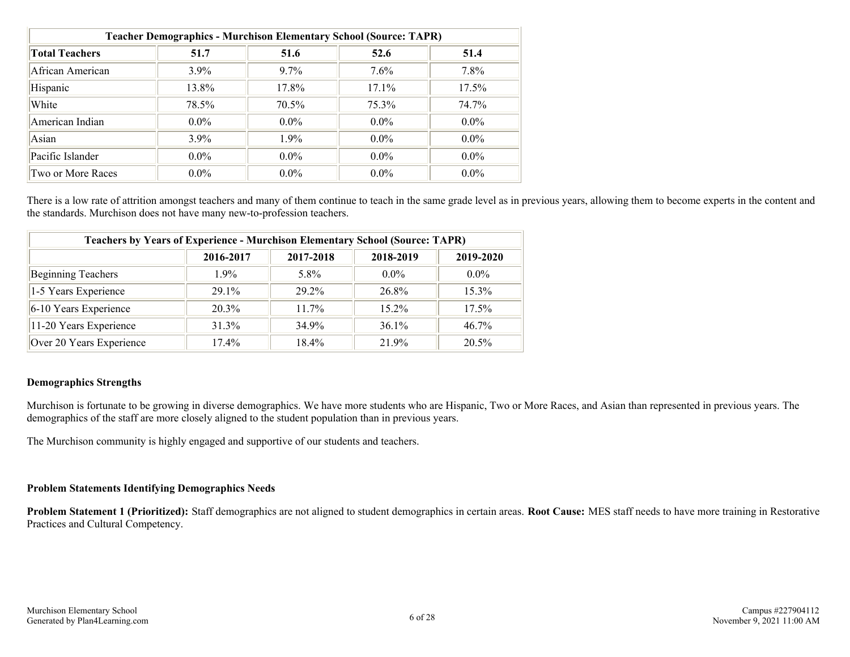| <b>Teacher Demographics - Murchison Elementary School (Source: TAPR)</b> |         |          |         |         |  |  |  |  |
|--------------------------------------------------------------------------|---------|----------|---------|---------|--|--|--|--|
| <b>Total Teachers</b>                                                    | 51.7    | 51.6     | 52.6    | 51.4    |  |  |  |  |
| African American                                                         | $3.9\%$ | $9.7\%$  | $7.6\%$ | 7.8%    |  |  |  |  |
| Hispanic                                                                 | 13.8%   | 17.8%    | 17.1%   | 17.5%   |  |  |  |  |
| White                                                                    | 78.5%   | $70.5\%$ | 75.3%   | 74.7%   |  |  |  |  |
| American Indian                                                          | $0.0\%$ | $0.0\%$  | $0.0\%$ | $0.0\%$ |  |  |  |  |
| Asian                                                                    | $3.9\%$ | 1.9%     | $0.0\%$ | $0.0\%$ |  |  |  |  |
| Pacific Islander                                                         | $0.0\%$ | $0.0\%$  | $0.0\%$ | $0.0\%$ |  |  |  |  |
| Two or More Races                                                        | $0.0\%$ | $0.0\%$  | $0.0\%$ | $0.0\%$ |  |  |  |  |

There is a low rate of attrition amongst teachers and many of them continue to teach in the same grade level as in previous years, allowing them to become experts in the content and the standards. Murchison does not have many new-to-profession teachers.

| <b>Teachers by Years of Experience - Murchison Elementary School (Source: TAPR)</b> |           |           |           |           |  |  |  |
|-------------------------------------------------------------------------------------|-----------|-----------|-----------|-----------|--|--|--|
|                                                                                     | 2016-2017 | 2017-2018 | 2018-2019 | 2019-2020 |  |  |  |
| Beginning Teachers                                                                  | $1.9\%$   | 5.8%      | $0.0\%$   | $0.0\%$   |  |  |  |
| 1-5 Years Experience                                                                | $291\%$   | 29 2%     | 26.8%     | $15.3\%$  |  |  |  |
| $6-10$ Years Experience                                                             | 20.3%     | $11.7\%$  | $15.2\%$  | 17.5%     |  |  |  |
| 11-20 Years Experience                                                              | $31.3\%$  | 34 9%     | $36.1\%$  | $46.7\%$  |  |  |  |
| Over 20 Years Experience                                                            | $17.4\%$  | $18.4\%$  | 21 9%     | $20.5\%$  |  |  |  |

### **Demographics Strengths**

Murchison is fortunate to be growing in diverse demographics. We have more students who are Hispanic, Two or More Races, and Asian than represented in previous years. The demographics of the staff are more closely aligned to the student population than in previous years.

The Murchison community is highly engaged and supportive of our students and teachers.

### **Problem Statements Identifying Demographics Needs**

**Problem Statement 1 (Prioritized):** Staff demographics are not aligned to student demographics in certain areas. **Root Cause:** MES staff needs to have more training in Restorative Practices and Cultural Competency.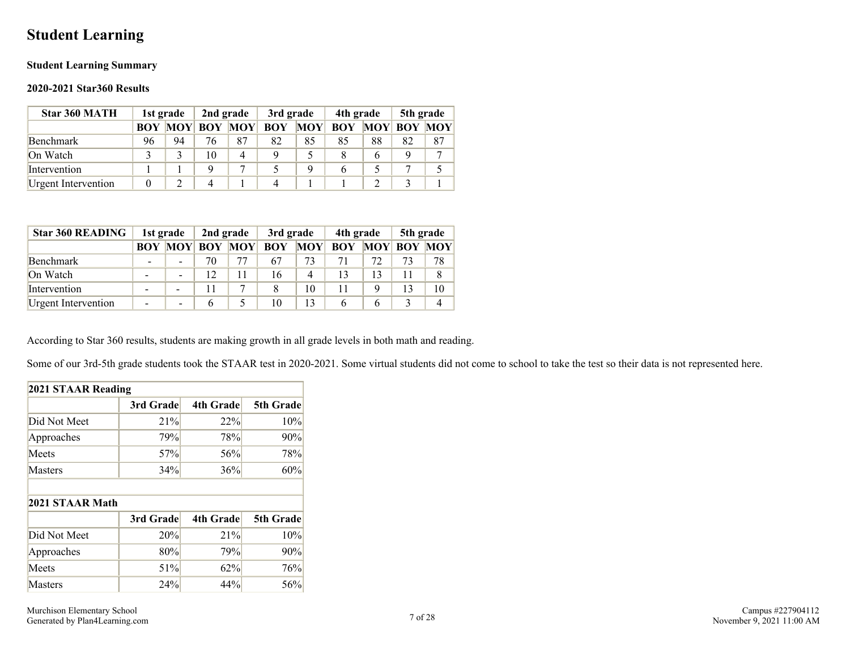### <span id="page-6-0"></span>**Student Learning**

### **Student Learning Summary**

### **2020-2021 Star360 Results**

| Star 360 MATH       |    | 1st grade | 2nd grade          |            | 3rd grade  |            | 4th grade  |    | 5th grade          |    |
|---------------------|----|-----------|--------------------|------------|------------|------------|------------|----|--------------------|----|
|                     |    |           | <b>BOY MOY BOY</b> | <b>MOY</b> | <b>BOY</b> | <b>MOY</b> | <b>BOY</b> |    | <b>MOY BOY MOY</b> |    |
| Benchmark           | 96 | 94        | 76                 | 87         | 82         | 85         | 85         | 88 | 82                 | 87 |
| On Watch            |    |           | 10                 | 4          |            |            |            | 6  |                    | −  |
| Intervention        |    |           |                    | 7          |            |            |            |    |                    |    |
| Urgent Intervention |    |           |                    |            |            |            |            |    |                    |    |

| <b>Star 360 READING</b> |                          | 1st grade                | 2nd grade          |            | 3rd grade  |                | 4th grade  |   | 5th grade          |    |
|-------------------------|--------------------------|--------------------------|--------------------|------------|------------|----------------|------------|---|--------------------|----|
|                         |                          |                          | <b>BOY MOY BOY</b> | <b>MOY</b> | <b>BOY</b> | <b>MOY</b>     | <b>BOY</b> |   | <b>MOY BOY MOY</b> |    |
| Benchmark               | $\overline{\phantom{a}}$ |                          | 70                 | 77         | 67         | 73             |            |   | 73                 | 78 |
| On Watch                |                          |                          | 12                 | 11         | 16         | $\overline{4}$ |            |   |                    |    |
| Intervention            |                          | $\overline{\phantom{0}}$ |                    | $\tau$     |            | 10             |            |   |                    | 10 |
| Urgent Intervention     |                          |                          | h                  |            | 10         | 13             |            | 6 |                    |    |

According to Star 360 results, students are making growth in all grade levels in both math and reading.

Some of our 3rd-5th grade students took the STAAR test in 2020-2021. Some virtual students did not come to school to take the test so their data is not represented here.

| 2021 STAAR Reading |           |                  |                  |  |  |  |  |  |
|--------------------|-----------|------------------|------------------|--|--|--|--|--|
|                    | 3rd Grade | <b>4th Grade</b> | 5th Grade        |  |  |  |  |  |
| Did Not Meet       | 21%       | 22%              | 10%              |  |  |  |  |  |
| Approaches         | 79%       | 78%              | 90%              |  |  |  |  |  |
| Meets              | 57%       | 56%              | 78%              |  |  |  |  |  |
| Masters            | 34%       | 36%              | 60%              |  |  |  |  |  |
|                    |           |                  |                  |  |  |  |  |  |
| 2021 STAAR Math    |           |                  |                  |  |  |  |  |  |
|                    | 3rd Grade | <b>4th Grade</b> |                  |  |  |  |  |  |
| Did Not Meet       | 20%       | 21%              | 5th Grade<br>10% |  |  |  |  |  |
| Approaches         | 80%       | 79%              | 90%              |  |  |  |  |  |
| Meets              | 51%       | 62%              | 76%              |  |  |  |  |  |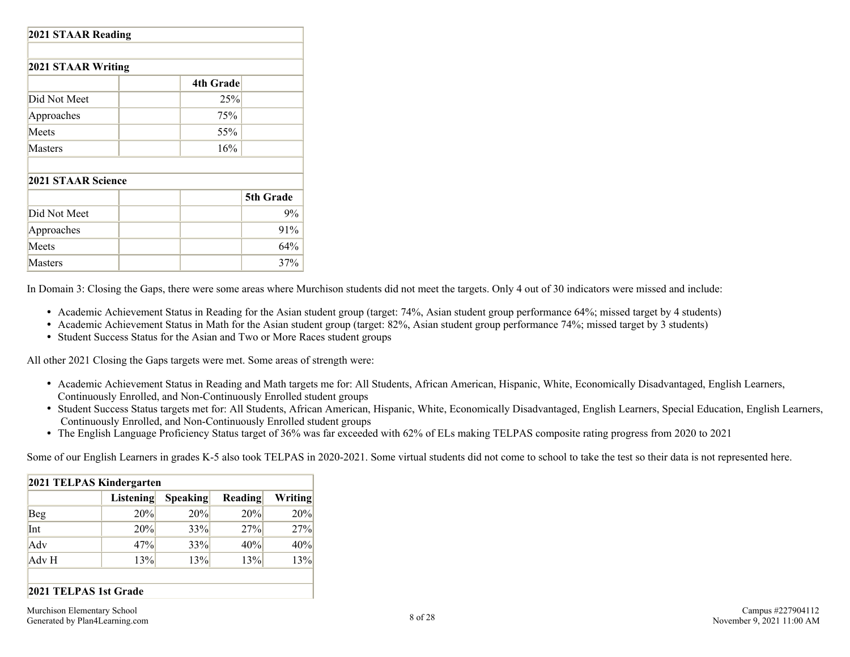| 2021 STAAR Reading |                  |           |  |  |  |  |  |
|--------------------|------------------|-----------|--|--|--|--|--|
| 2021 STAAR Writing |                  |           |  |  |  |  |  |
|                    | <b>4th Grade</b> |           |  |  |  |  |  |
| Did Not Meet       | 25%              |           |  |  |  |  |  |
| Approaches         | 75%              |           |  |  |  |  |  |
| Meets              | 55%              |           |  |  |  |  |  |
| Masters            | 16%              |           |  |  |  |  |  |
|                    |                  |           |  |  |  |  |  |
| 2021 STAAR Science |                  |           |  |  |  |  |  |
|                    |                  | 5th Grade |  |  |  |  |  |
| Did Not Meet       |                  | 9%        |  |  |  |  |  |
| Approaches         |                  | 91%       |  |  |  |  |  |
| Meets              |                  | 64%       |  |  |  |  |  |
| Masters            |                  | 37%       |  |  |  |  |  |

In Domain 3: Closing the Gaps, there were some areas where Murchison students did not meet the targets. Only 4 out of 30 indicators were missed and include:

- Academic Achievement Status in Reading for the Asian student group (target: 74%, Asian student group performance 64%; missed target by 4 students)
- Academic Achievement Status in Math for the Asian student group (target: 82%, Asian student group performance 74%; missed target by 3 students)
- Student Success Status for the Asian and Two or More Races student groups

All other 2021 Closing the Gaps targets were met. Some areas of strength were:

- Academic Achievement Status in Reading and Math targets me for: All Students, African American, Hispanic, White, Economically Disadvantaged, English Learners, Continuously Enrolled, and Non-Continuously Enrolled student groups
- Student Success Status targets met for: All Students, African American, Hispanic, White, Economically Disadvantaged, English Learners, Special Education, English Learners, Continuously Enrolled, and Non-Continuously Enrolled student groups
- The English Language Proficiency Status target of 36% was far exceeded with 62% of ELs making TELPAS composite rating progress from 2020 to 2021

Some of our English Learners in grades K-5 also took TELPAS in 2020-2021. Some virtual students did not come to school to take the test so their data is not represented here.

| 2021 TELPAS Kindergarten |           |          |         |         |  |  |  |
|--------------------------|-----------|----------|---------|---------|--|--|--|
|                          | Listening | Speaking | Reading | Writing |  |  |  |
| <b>Beg</b>               | 20%       | 20%      | 20%     | 20%     |  |  |  |
| Int                      | 20%       | 33%      | 27%     | 27%     |  |  |  |
| Adv                      | 47%       | 33%      | 40%     | 40%     |  |  |  |
| Adv H                    | 13%       | 13%      | 13%     | 13%     |  |  |  |

### **2021 TELPAS 1st Grade**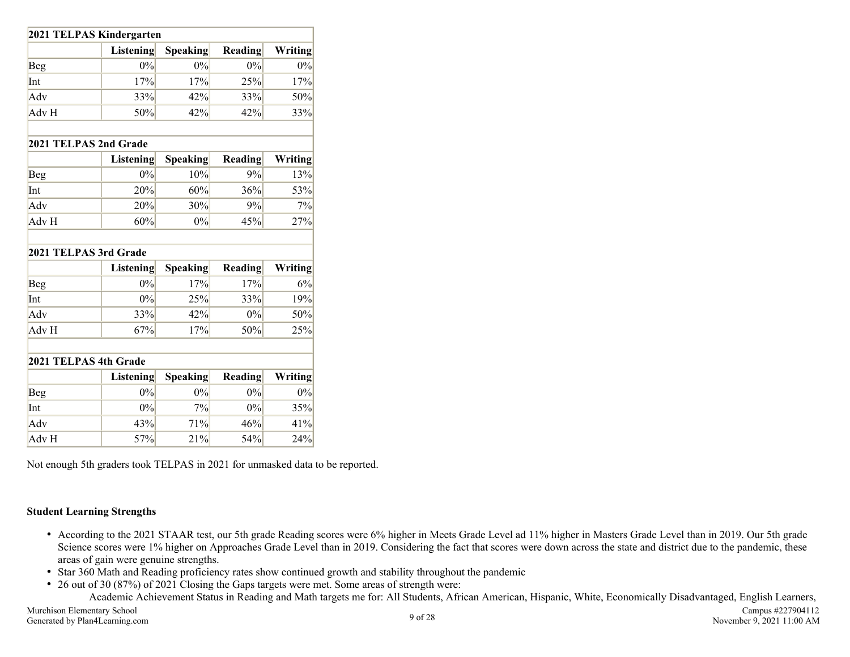| 2021 TELPAS Kindergarten |                  |                 |         |         |  |  |  |  |
|--------------------------|------------------|-----------------|---------|---------|--|--|--|--|
|                          | <b>Listening</b> | <b>Speaking</b> | Reading | Writing |  |  |  |  |
| Beg                      | $0\%$            | $0\%$           | 0%      | 0%      |  |  |  |  |
| Int                      | 17%              | 17%             | 25%     | 17%     |  |  |  |  |
| Adv                      | 33%              | 42%             | 33%     | 50%     |  |  |  |  |
| Adv H                    | 50%              | 42%             | 42%     | 33%     |  |  |  |  |
| 2021 TELPAS 2nd Grade    |                  |                 |         |         |  |  |  |  |
|                          | <b>Listening</b> | <b>Speaking</b> | Reading | Writing |  |  |  |  |
| <b>Beg</b>               | $0\%$            | 10%             | 9%      | 13%     |  |  |  |  |
| Int                      | 20%              | 60%             | 36%     | 53%     |  |  |  |  |
| Adv                      | 20%              | 30%             | 9%      | 7%      |  |  |  |  |
| Adv H                    | 60%              | $0\%$           | 45%     | 27%     |  |  |  |  |
| 2021 TELPAS 3rd Grade    |                  |                 |         |         |  |  |  |  |
|                          | <b>Listening</b> | <b>Speaking</b> | Reading | Writing |  |  |  |  |
| <b>Beg</b>               | 0%               | 17%             | 17%     | 6%      |  |  |  |  |
| Int                      | 0%               | 25%             | 33%     | 19%     |  |  |  |  |
| Adv                      | 33%              | 42%             | $0\%$   | 50%     |  |  |  |  |
| Adv H                    | 67%              | 17%             | 50%     | 25%     |  |  |  |  |
| 2021 TELPAS 4th Grade    |                  |                 |         |         |  |  |  |  |
|                          | <b>Listening</b> | <b>Speaking</b> | Reading | Writing |  |  |  |  |
| <b>Beg</b>               | 0%               | $0\%$           | 0%      | 0%      |  |  |  |  |
| Int                      | $0\%$            | 7%              | $0\%$   | 35%     |  |  |  |  |
| Adv                      | 43%              | 71%             | 46%     | 41%     |  |  |  |  |
| Adv H                    | 57%              | 21%             | 54%     | 24%     |  |  |  |  |

Not enough 5th graders took TELPAS in 2021 for unmasked data to be reported.

### **Student Learning Strengths**

- According to the 2021 STAAR test, our 5th grade Reading scores were 6% higher in Meets Grade Level ad 11% higher in Masters Grade Level than in 2019. Our 5th grade Science scores were 1% higher on Approaches Grade Level than in 2019. Considering the fact that scores were down across the state and district due to the pandemic, these areas of gain were genuine strengths.
- Star 360 Math and Reading proficiency rates show continued growth and stability throughout the pandemic
- 26 out of 30 (87%) of 2021 Closing the Gaps targets were met. Some areas of strength were: Academic Achievement Status in Reading and Math targets me for: All Students, African American, Hispanic, White, Economically Disadvantaged, English Learners,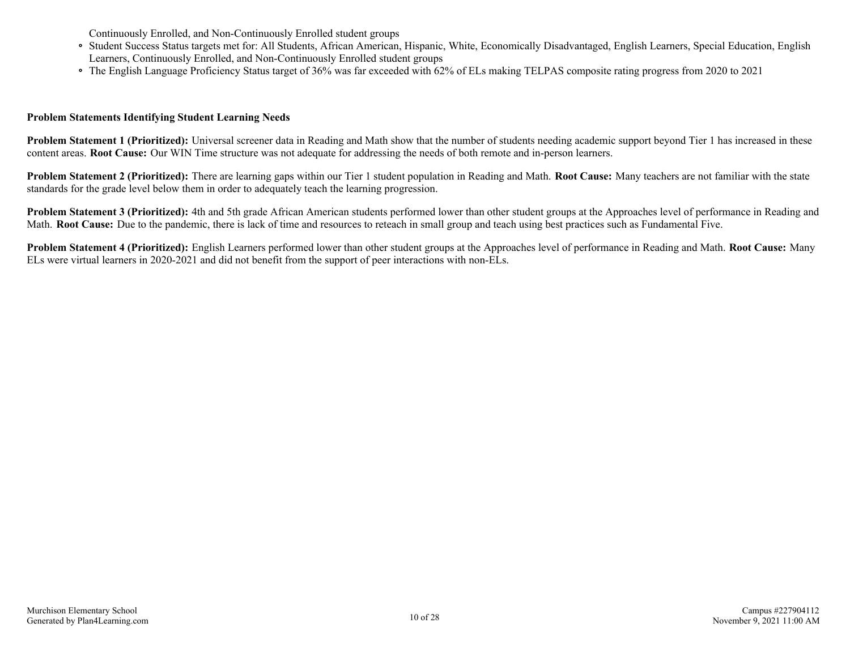Continuously Enrolled, and Non-Continuously Enrolled student groups

- Student Success Status targets met for: All Students, African American, Hispanic, White, Economically Disadvantaged, English Learners, Special Education, English Learners, Continuously Enrolled, and Non-Continuously Enrolled student groups
- The English Language Proficiency Status target of 36% was far exceeded with 62% of ELs making TELPAS composite rating progress from 2020 to 2021

### **Problem Statements Identifying Student Learning Needs**

**Problem Statement 1 (Prioritized):** Universal screener data in Reading and Math show that the number of students needing academic support beyond Tier 1 has increased in these content areas. **Root Cause:** Our WIN Time structure was not adequate for addressing the needs of both remote and in-person learners.

**Problem Statement 2 (Prioritized):** There are learning gaps within our Tier 1 student population in Reading and Math. **Root Cause:** Many teachers are not familiar with the state standards for the grade level below them in order to adequately teach the learning progression.

**Problem Statement 3 (Prioritized):** 4th and 5th grade African American students performed lower than other student groups at the Approaches level of performance in Reading and Math. **Root Cause:** Due to the pandemic, there is lack of time and resources to reteach in small group and teach using best practices such as Fundamental Five.

**Problem Statement 4 (Prioritized):** English Learners performed lower than other student groups at the Approaches level of performance in Reading and Math. **Root Cause:** Many ELs were virtual learners in 2020-2021 and did not benefit from the support of peer interactions with non-ELs.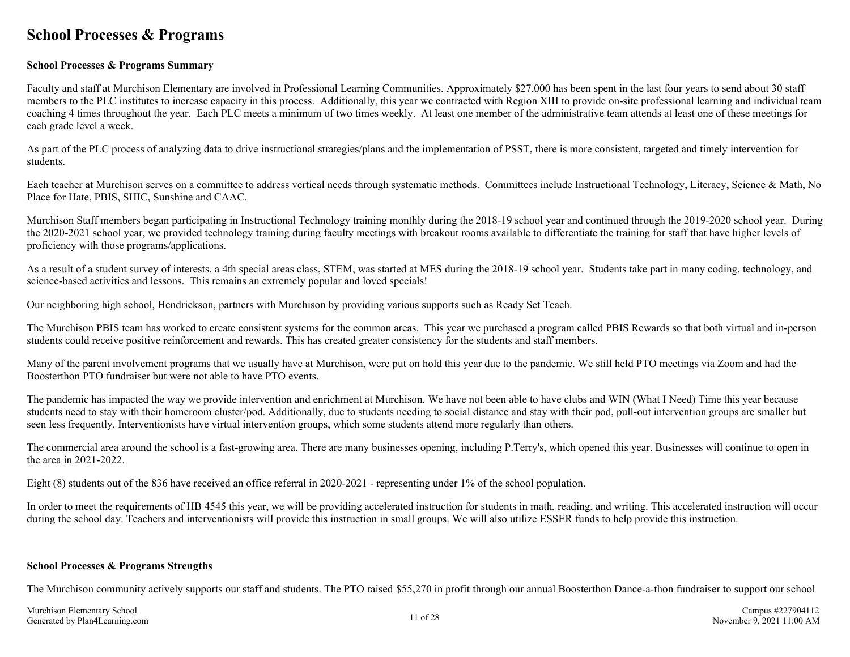### <span id="page-10-0"></span>**School Processes & Programs**

### **School Processes & Programs Summary**

Faculty and staff at Murchison Elementary are involved in Professional Learning Communities. Approximately \$27,000 has been spent in the last four years to send about 30 staff members to the PLC institutes to increase capacity in this process. Additionally, this year we contracted with Region XIII to provide on-site professional learning and individual team coaching 4 times throughout the year. Each PLC meets a minimum of two times weekly. At least one member of the administrative team attends at least one of these meetings for each grade level a week.

As part of the PLC process of analyzing data to drive instructional strategies/plans and the implementation of PSST, there is more consistent, targeted and timely intervention for students.

Each teacher at Murchison serves on a committee to address vertical needs through systematic methods. Committees include Instructional Technology, Literacy, Science & Math, No Place for Hate, PBIS, SHIC, Sunshine and CAAC.

Murchison Staff members began participating in Instructional Technology training monthly during the 2018-19 school year and continued through the 2019-2020 school year. During the 2020-2021 school year, we provided technology training during faculty meetings with breakout rooms available to differentiate the training for staff that have higher levels of proficiency with those programs/applications.

As a result of a student survey of interests, a 4th special areas class, STEM, was started at MES during the 2018-19 school year. Students take part in many coding, technology, and science-based activities and lessons. This remains an extremely popular and loved specials!

Our neighboring high school, Hendrickson, partners with Murchison by providing various supports such as Ready Set Teach.

The Murchison PBIS team has worked to create consistent systems for the common areas. This year we purchased a program called PBIS Rewards so that both virtual and in-person students could receive positive reinforcement and rewards. This has created greater consistency for the students and staff members.

Many of the parent involvement programs that we usually have at Murchison, were put on hold this year due to the pandemic. We still held PTO meetings via Zoom and had the Boosterthon PTO fundraiser but were not able to have PTO events.

The pandemic has impacted the way we provide intervention and enrichment at Murchison. We have not been able to have clubs and WIN (What I Need) Time this year because students need to stay with their homeroom cluster/pod. Additionally, due to students needing to social distance and stay with their pod, pull-out intervention groups are smaller but seen less frequently. Interventionists have virtual intervention groups, which some students attend more regularly than others.

The commercial area around the school is a fast-growing area. There are many businesses opening, including P.Terry's, which opened this year. Businesses will continue to open in the area in 2021-2022.

Eight (8) students out of the 836 have received an office referral in 2020-2021 - representing under 1% of the school population.

In order to meet the requirements of HB 4545 this year, we will be providing accelerated instruction for students in math, reading, and writing. This accelerated instruction will occur during the school day. Teachers and interventionists will provide this instruction in small groups. We will also utilize ESSER funds to help provide this instruction.

### **School Processes & Programs Strengths**

The Murchison community actively supports our staff and students. The PTO raised \$55,270 in profit through our annual Boosterthon Dance-a-thon fundraiser to support our school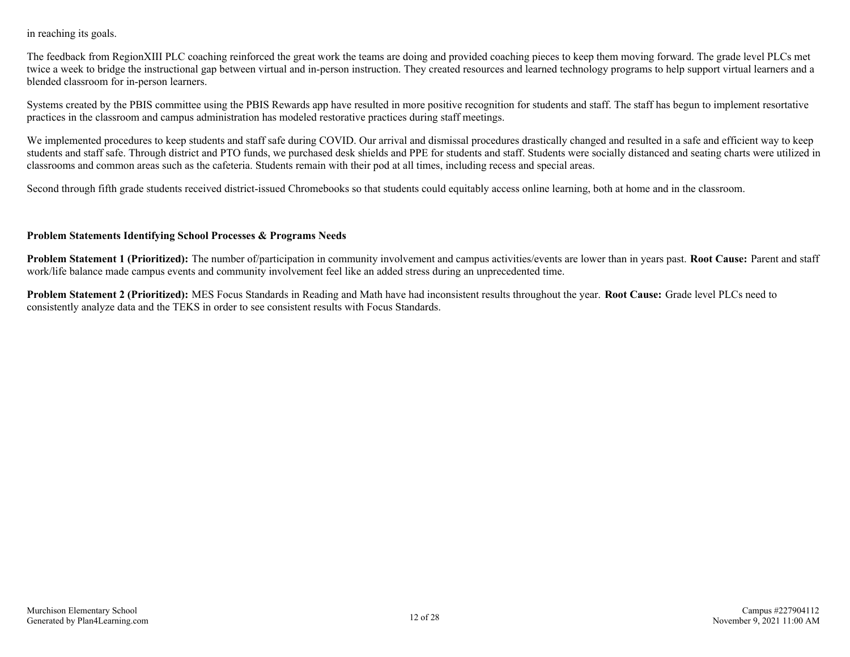in reaching its goals.

The feedback from RegionXIII PLC coaching reinforced the great work the teams are doing and provided coaching pieces to keep them moving forward. The grade level PLCs met twice a week to bridge the instructional gap between virtual and in-person instruction. They created resources and learned technology programs to help support virtual learners and a blended classroom for in-person learners.

Systems created by the PBIS committee using the PBIS Rewards app have resulted in more positive recognition for students and staff. The staff has begun to implement resortative practices in the classroom and campus administration has modeled restorative practices during staff meetings.

We implemented procedures to keep students and staff safe during COVID. Our arrival and dismissal procedures drastically changed and resulted in a safe and efficient way to keep students and staff safe. Through district and PTO funds, we purchased desk shields and PPE for students and staff. Students were socially distanced and seating charts were utilized in classrooms and common areas such as the cafeteria. Students remain with their pod at all times, including recess and special areas.

Second through fifth grade students received district-issued Chromebooks so that students could equitably access online learning, both at home and in the classroom.

### **Problem Statements Identifying School Processes & Programs Needs**

**Problem Statement 1 (Prioritized):** The number of/participation in community involvement and campus activities/events are lower than in years past. **Root Cause:** Parent and staff work/life balance made campus events and community involvement feel like an added stress during an unprecedented time.

**Problem Statement 2 (Prioritized):** MES Focus Standards in Reading and Math have had inconsistent results throughout the year. **Root Cause:** Grade level PLCs need to consistently analyze data and the TEKS in order to see consistent results with Focus Standards.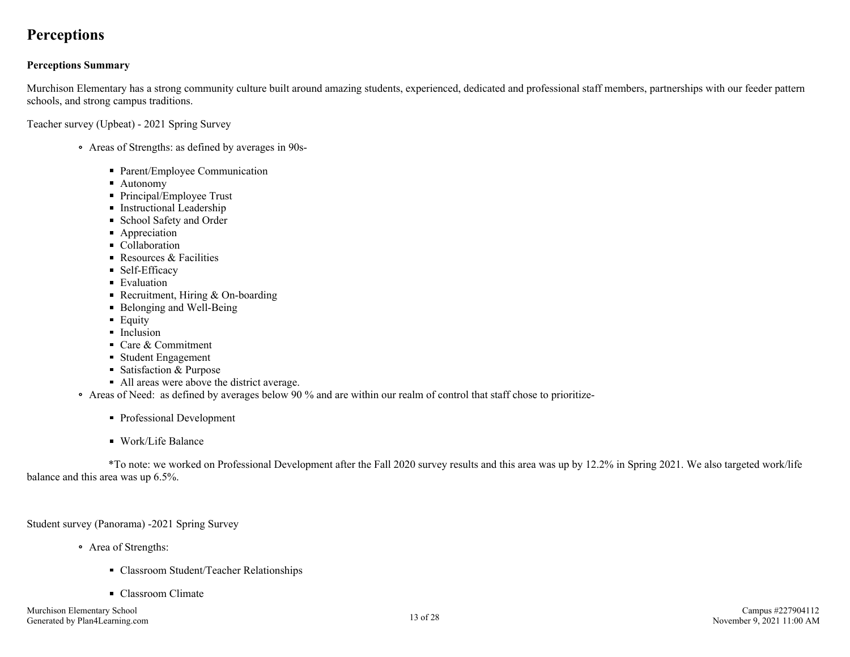### <span id="page-12-0"></span>**Perceptions**

### **Perceptions Summary**

Murchison Elementary has a strong community culture built around amazing students, experienced, dedicated and professional staff members, partnerships with our feeder pattern schools, and strong campus traditions.

Teacher survey (Upbeat) - 2021 Spring Survey

- Areas of Strengths: as defined by averages in 90s-
	- Parent/Employee Communication
	- Autonomy
	- Principal/Employee Trust
	- **Instructional Leadership**
	- School Safety and Order
	- **Appreciation**
	- Collaboration
	- Resources  $& Facilities$
	- Self-Efficacy
	- Evaluation
	- Recruitment, Hiring  $&$  On-boarding
	- Belonging and Well-Being
	- **Equity**
	- Inclusion
	- Care & Commitment
	- Student Engagement
	- Satisfaction & Purpose
	- All areas were above the district average.
- Areas of Need: as defined by averages below 90 % and are within our realm of control that staff chose to prioritize-
	- Professional Development
	- Work/Life Balance

 \*To note: we worked on Professional Development after the Fall 2020 survey results and this area was up by 12.2% in Spring 2021. We also targeted work/life balance and this area was up 6.5%.

Student survey (Panorama) -2021 Spring Survey

- Area of Strengths:
	- Classroom Student/Teacher Relationships
	- Classroom Climate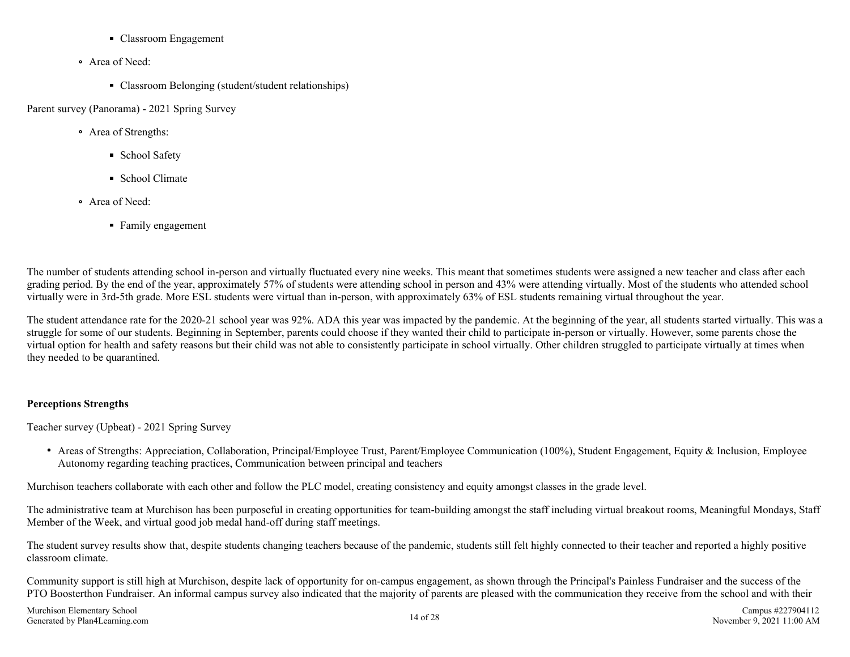- Classroom Engagement
- Area of Need:
	- Classroom Belonging (student/student relationships)

Parent survey (Panorama) - 2021 Spring Survey

- Area of Strengths:
	- **School Safety**
	- School Climate
- Area of Need:
	- Family engagement

The number of students attending school in-person and virtually fluctuated every nine weeks. This meant that sometimes students were assigned a new teacher and class after each grading period. By the end of the year, approximately 57% of students were attending school in person and 43% were attending virtually. Most of the students who attended school virtually were in 3rd-5th grade. More ESL students were virtual than in-person, with approximately 63% of ESL students remaining virtual throughout the year.

The student attendance rate for the 2020-21 school year was 92%. ADA this year was impacted by the pandemic. At the beginning of the year, all students started virtually. This was a struggle for some of our students. Beginning in September, parents could choose if they wanted their child to participate in-person or virtually. However, some parents chose the virtual option for health and safety reasons but their child was not able to consistently participate in school virtually. Other children struggled to participate virtually at times when they needed to be quarantined.

### **Perceptions Strengths**

Teacher survey (Upbeat) - 2021 Spring Survey

• Areas of Strengths: Appreciation, Collaboration, Principal/Employee Trust, Parent/Employee Communication (100%), Student Engagement, Equity & Inclusion, Employee Autonomy regarding teaching practices, Communication between principal and teachers

Murchison teachers collaborate with each other and follow the PLC model, creating consistency and equity amongst classes in the grade level.

The administrative team at Murchison has been purposeful in creating opportunities for team-building amongst the staff including virtual breakout rooms, Meaningful Mondays, Staff Member of the Week, and virtual good job medal hand-off during staff meetings.

The student survey results show that, despite students changing teachers because of the pandemic, students still felt highly connected to their teacher and reported a highly positive classroom climate.

Community support is still high at Murchison, despite lack of opportunity for on-campus engagement, as shown through the Principal's Painless Fundraiser and the success of the PTO Boosterthon Fundraiser. An informal campus survey also indicated that the majority of parents are pleased with the communication they receive from the school and with their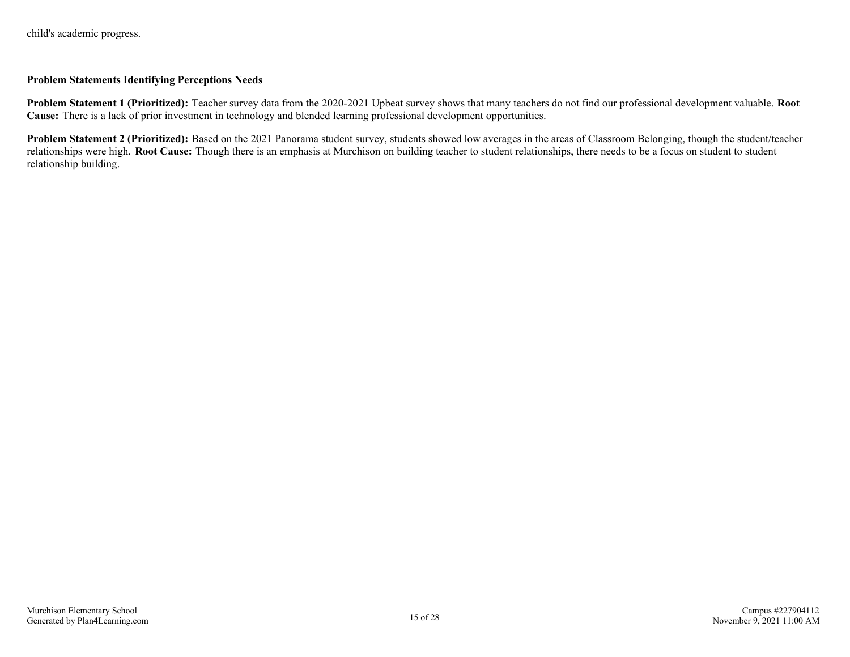### **Problem Statements Identifying Perceptions Needs**

**Problem Statement 1 (Prioritized):** Teacher survey data from the 2020-2021 Upbeat survey shows that many teachers do not find our professional development valuable. **Root Cause:** There is a lack of prior investment in technology and blended learning professional development opportunities.

**Problem Statement 2 (Prioritized):** Based on the 2021 Panorama student survey, students showed low averages in the areas of Classroom Belonging, though the student/teacher relationships were high. **Root Cause:** Though there is an emphasis at Murchison on building teacher to student relationships, there needs to be a focus on student to student relationship building.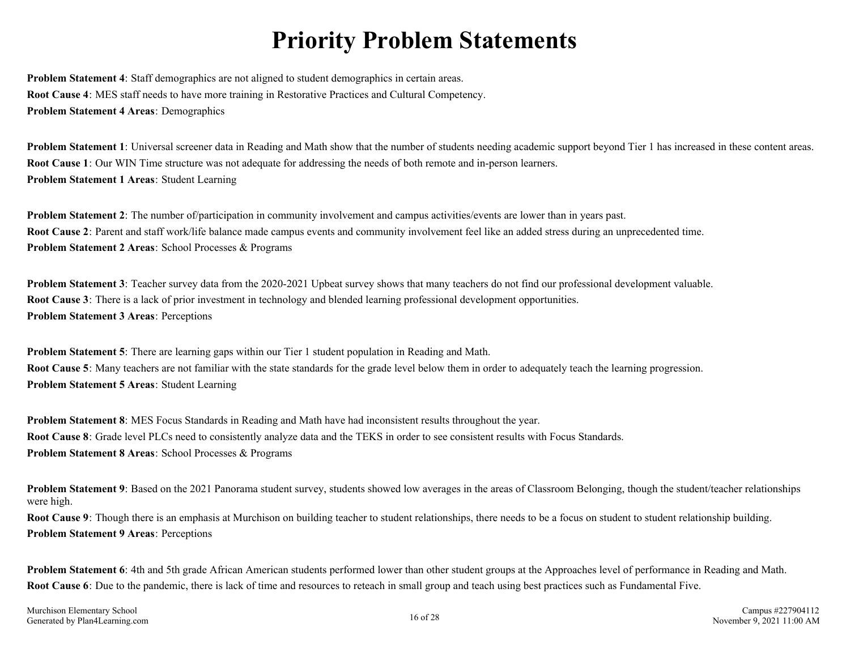## **Priority Problem Statements**

<span id="page-15-0"></span>**Problem Statement 4**: Staff demographics are not aligned to student demographics in certain areas. **Root Cause 4**: MES staff needs to have more training in Restorative Practices and Cultural Competency. **Problem Statement 4 Areas**: Demographics

**Problem Statement 1**: Universal screener data in Reading and Math show that the number of students needing academic support beyond Tier 1 has increased in these content areas. **Root Cause 1**: Our WIN Time structure was not adequate for addressing the needs of both remote and in-person learners. **Problem Statement 1 Areas**: Student Learning

**Problem Statement 2**: The number of/participation in community involvement and campus activities/events are lower than in years past. **Root Cause 2**: Parent and staff work/life balance made campus events and community involvement feel like an added stress during an unprecedented time. **Problem Statement 2 Areas**: School Processes & Programs

**Problem Statement 3**: Teacher survey data from the 2020-2021 Upbeat survey shows that many teachers do not find our professional development valuable. **Root Cause 3**: There is a lack of prior investment in technology and blended learning professional development opportunities. **Problem Statement 3 Areas**: Perceptions

**Problem Statement 5**: There are learning gaps within our Tier 1 student population in Reading and Math. **Root Cause 5**: Many teachers are not familiar with the state standards for the grade level below them in order to adequately teach the learning progression. **Problem Statement 5 Areas**: Student Learning

**Problem Statement 8**: MES Focus Standards in Reading and Math have had inconsistent results throughout the year. **Root Cause 8**: Grade level PLCs need to consistently analyze data and the TEKS in order to see consistent results with Focus Standards. **Problem Statement 8 Areas**: School Processes & Programs

**Problem Statement 9**: Based on the 2021 Panorama student survey, students showed low averages in the areas of Classroom Belonging, though the student/teacher relationships were high.

**Root Cause 9**: Though there is an emphasis at Murchison on building teacher to student relationships, there needs to be a focus on student to student relationship building. **Problem Statement 9 Areas**: Perceptions

**Problem Statement 6**: 4th and 5th grade African American students performed lower than other student groups at the Approaches level of performance in Reading and Math. **Root Cause 6**: Due to the pandemic, there is lack of time and resources to reteach in small group and teach using best practices such as Fundamental Five.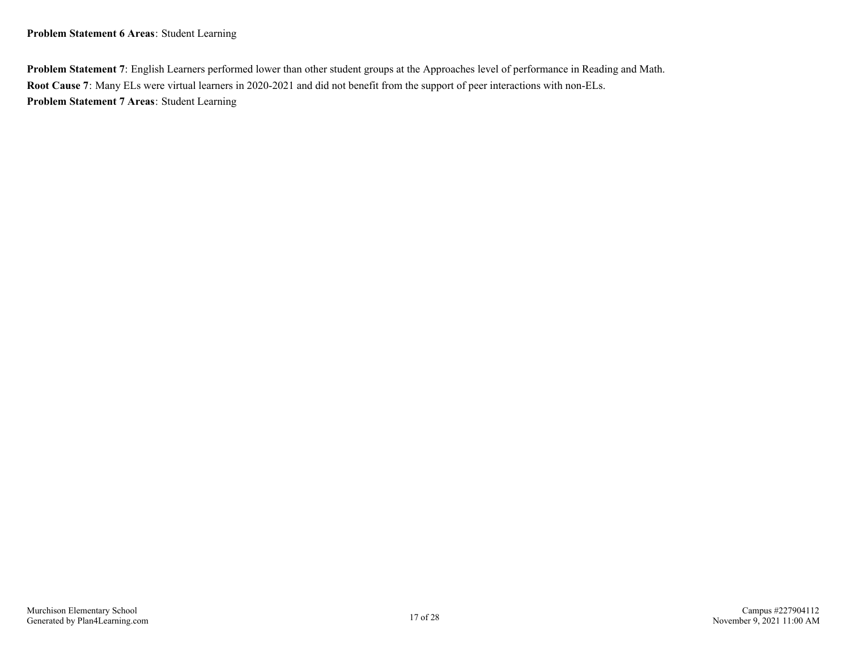**Problem Statement 6 Areas**: Student Learning

**Problem Statement 7**: English Learners performed lower than other student groups at the Approaches level of performance in Reading and Math. **Root Cause 7**: Many ELs were virtual learners in 2020-2021 and did not benefit from the support of peer interactions with non-ELs. **Problem Statement 7 Areas**: Student Learning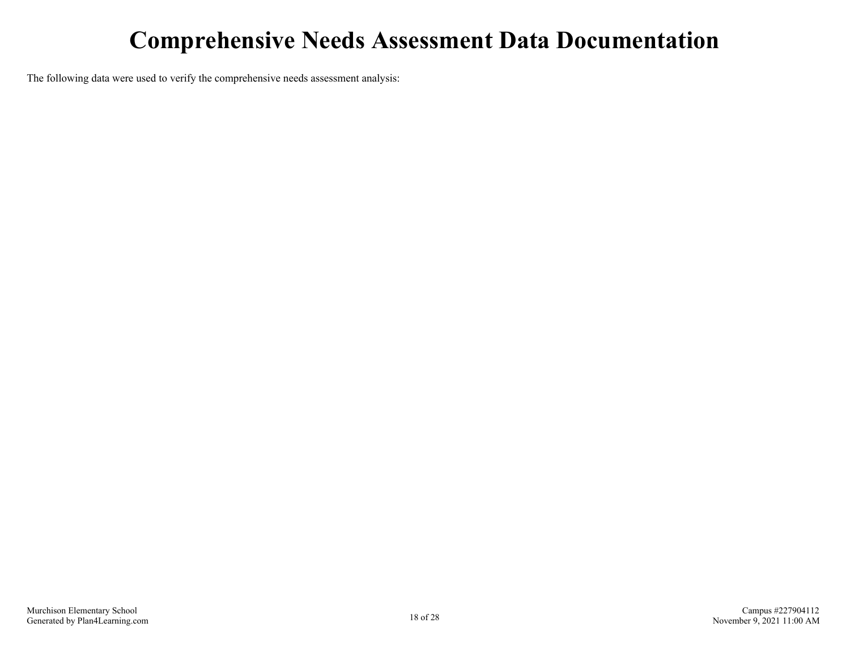## **Comprehensive Needs Assessment Data Documentation**

<span id="page-17-0"></span>The following data were used to verify the comprehensive needs assessment analysis: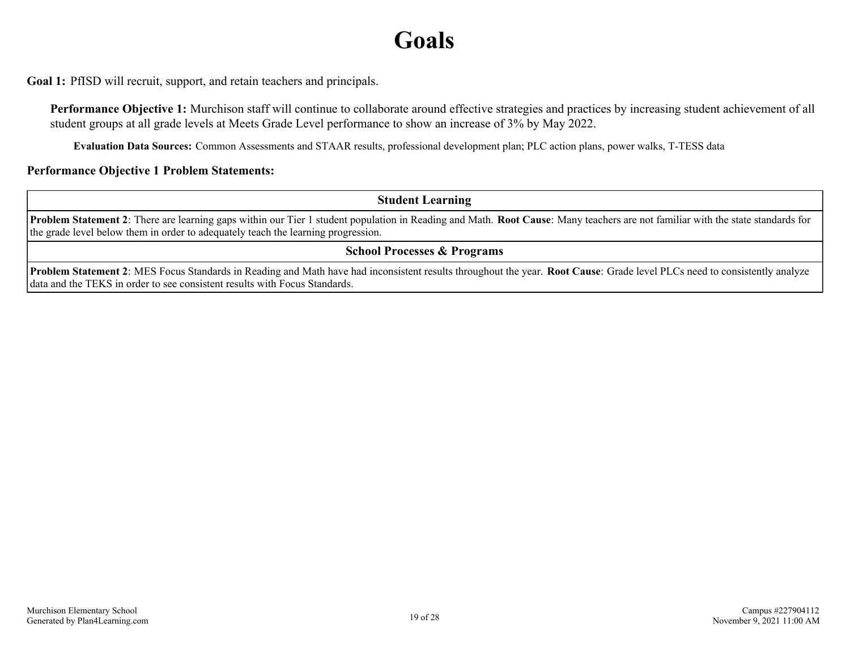## **Goals**

<span id="page-18-0"></span>**Goal 1:** PfISD will recruit, support, and retain teachers and principals.

**Performance Objective 1:** Murchison staff will continue to collaborate around effective strategies and practices by increasing student achievement of all student groups at all grade levels at Meets Grade Level performance to show an increase of 3% by May 2022.

**Evaluation Data Sources:** Common Assessments and STAAR results, professional development plan; PLC action plans, power walks, T-TESS data

### **Performance Objective 1 Problem Statements:**

**Student Learning**

**Problem Statement 2**: There are learning gaps within our Tier 1 student population in Reading and Math. **Root Cause**: Many teachers are not familiar with the state standards for the grade level below them in order to adequately teach the learning progression.

**School Processes & Programs**

**Problem Statement 2**: MES Focus Standards in Reading and Math have had inconsistent results throughout the year. **Root Cause**: Grade level PLCs need to consistently analyze data and the TEKS in order to see consistent results with Focus Standards.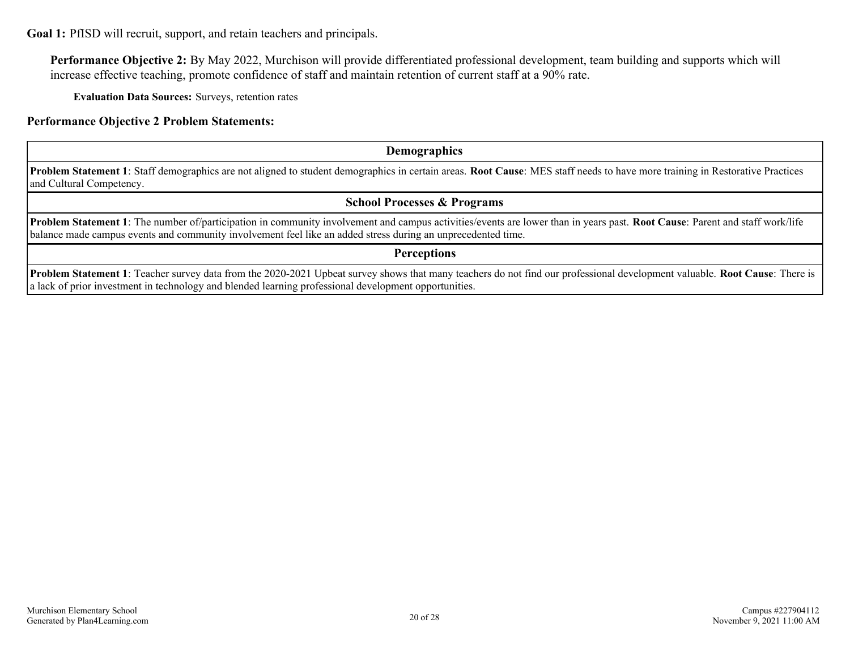**Goal 1:** PfISD will recruit, support, and retain teachers and principals.

**Performance Objective 2:** By May 2022, Murchison will provide differentiated professional development, team building and supports which will increase effective teaching, promote confidence of staff and maintain retention of current staff at a 90% rate.

**Evaluation Data Sources:** Surveys, retention rates

**Performance Objective 2 Problem Statements:**

**Demographics**

**Problem Statement 1**: Staff demographics are not aligned to student demographics in certain areas. **Root Cause**: MES staff needs to have more training in Restorative Practices and Cultural Competency.

**School Processes & Programs**

**Problem Statement 1**: The number of/participation in community involvement and campus activities/events are lower than in years past. **Root Cause**: Parent and staff work/life balance made campus events and community involvement feel like an added stress during an unprecedented time.

**Perceptions**

**Problem Statement 1**: Teacher survey data from the 2020-2021 Upbeat survey shows that many teachers do not find our professional development valuable. **Root Cause**: There is a lack of prior investment in technology and blended learning professional development opportunities.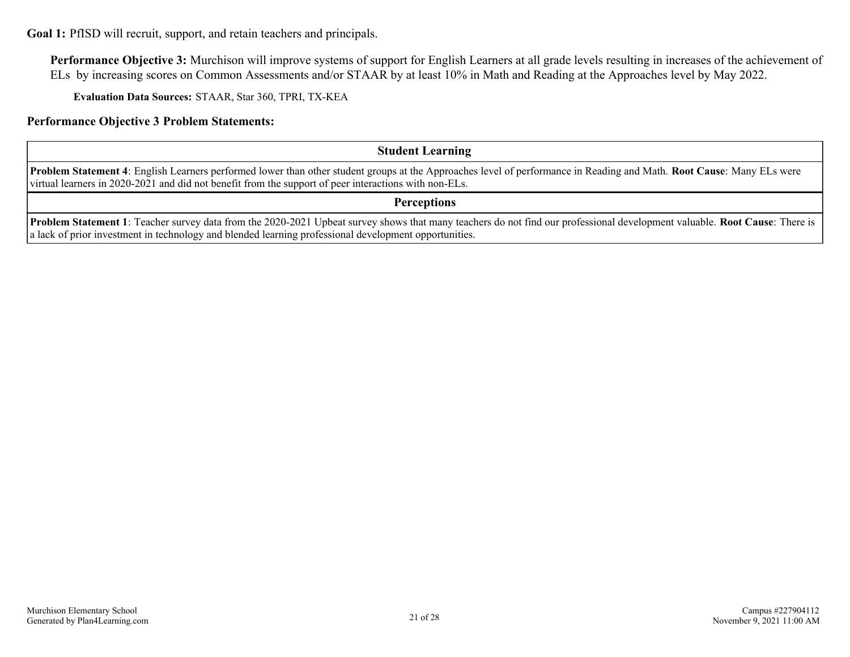**Goal 1:** PfISD will recruit, support, and retain teachers and principals.

**Performance Objective 3:** Murchison will improve systems of support for English Learners at all grade levels resulting in increases of the achievement of ELs by increasing scores on Common Assessments and/or STAAR by at least 10% in Math and Reading at the Approaches level by May 2022.

**Evaluation Data Sources:** STAAR, Star 360, TPRI, TX-KEA

**Performance Objective 3 Problem Statements:**

### **Student Learning**

**Problem Statement 4**: English Learners performed lower than other student groups at the Approaches level of performance in Reading and Math. **Root Cause**: Many ELs were virtual learners in 2020-2021 and did not benefit from the support of peer interactions with non-ELs.

**Perceptions**

**Problem Statement 1**: Teacher survey data from the 2020-2021 Upbeat survey shows that many teachers do not find our professional development valuable. **Root Cause**: There is a lack of prior investment in technology and blended learning professional development opportunities.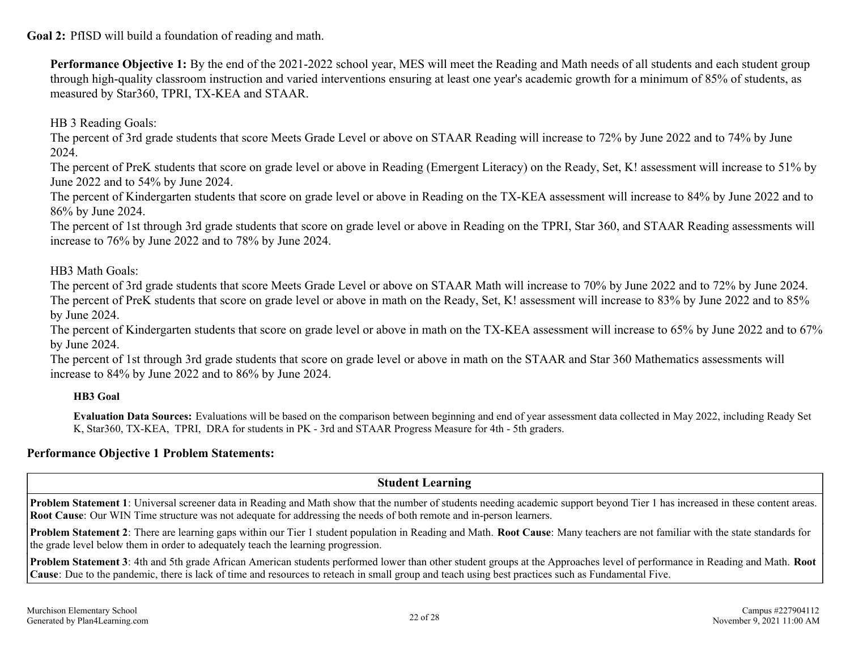<span id="page-21-0"></span>**Goal 2:** PfISD will build a foundation of reading and math.

**Performance Objective 1:** By the end of the 2021-2022 school year, MES will meet the Reading and Math needs of all students and each student group through high-quality classroom instruction and varied interventions ensuring at least one year's academic growth for a minimum of 85% of students, as measured by Star360, TPRI, TX-KEA and STAAR.

HB 3 Reading Goals:

The percent of 3rd grade students that score Meets Grade Level or above on STAAR Reading will increase to 72% by June 2022 and to 74% by June 2024.

The percent of PreK students that score on grade level or above in Reading (Emergent Literacy) on the Ready, Set, K! assessment will increase to 51% by June 2022 and to 54% by June 2024.

The percent of Kindergarten students that score on grade level or above in Reading on the TX-KEA assessment will increase to 84% by June 2022 and to 86% by June 2024.

The percent of 1st through 3rd grade students that score on grade level or above in Reading on the TPRI, Star 360, and STAAR Reading assessments will increase to 76% by June 2022 and to 78% by June 2024.

HB3 Math Goals:

The percent of 3rd grade students that score Meets Grade Level or above on STAAR Math will increase to 70% by June 2022 and to 72% by June 2024. The percent of PreK students that score on grade level or above in math on the Ready, Set, K! assessment will increase to 83% by June 2022 and to 85% by June 2024.

The percent of Kindergarten students that score on grade level or above in math on the TX-KEA assessment will increase to 65% by June 2022 and to 67% by June 2024.

The percent of 1st through 3rd grade students that score on grade level or above in math on the STAAR and Star 360 Mathematics assessments will increase to 84% by June 2022 and to 86% by June 2024.

**HB3 Goal**

**Evaluation Data Sources:** Evaluations will be based on the comparison between beginning and end of year assessment data collected in May 2022, including Ready Set K, Star360, TX-KEA, TPRI, DRA for students in PK - 3rd and STAAR Progress Measure for 4th - 5th graders.

### **Performance Objective 1 Problem Statements:**

### **Student Learning**

**Problem Statement 1**: Universal screener data in Reading and Math show that the number of students needing academic support beyond Tier 1 has increased in these content areas. **Root Cause**: Our WIN Time structure was not adequate for addressing the needs of both remote and in-person learners.

**Problem Statement 2**: There are learning gaps within our Tier 1 student population in Reading and Math. **Root Cause**: Many teachers are not familiar with the state standards for the grade level below them in order to adequately teach the learning progression.

**Problem Statement 3**: 4th and 5th grade African American students performed lower than other student groups at the Approaches level of performance in Reading and Math. **Root Cause**: Due to the pandemic, there is lack of time and resources to reteach in small group and teach using best practices such as Fundamental Five.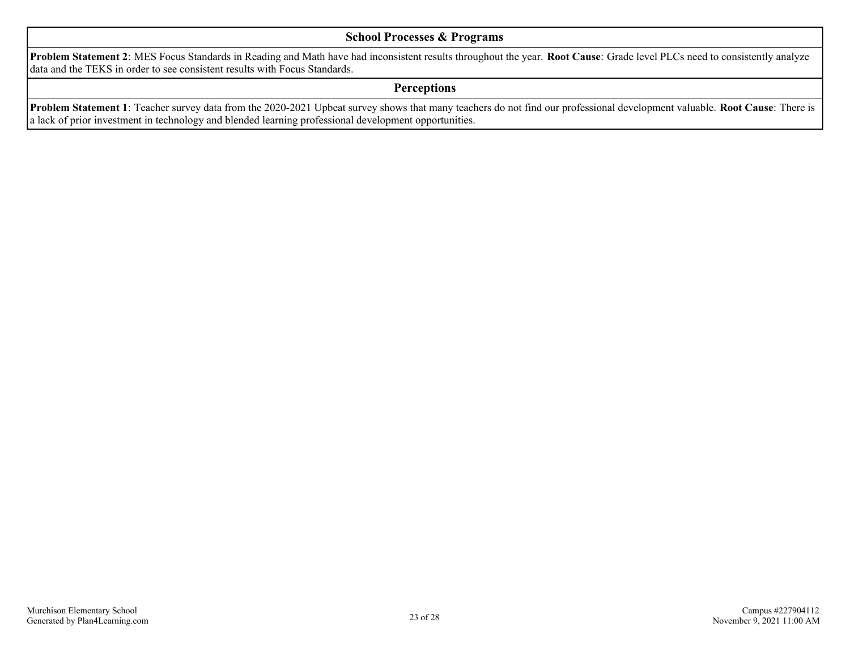### **School Processes & Programs**

**Problem Statement 2**: MES Focus Standards in Reading and Math have had inconsistent results throughout the year. **Root Cause**: Grade level PLCs need to consistently analyze data and the TEKS in order to see consistent results with Focus Standards.

### **Perceptions**

**Problem Statement 1**: Teacher survey data from the 2020-2021 Upbeat survey shows that many teachers do not find our professional development valuable. **Root Cause**: There is a lack of prior investment in technology and blended learning professional development opportunities.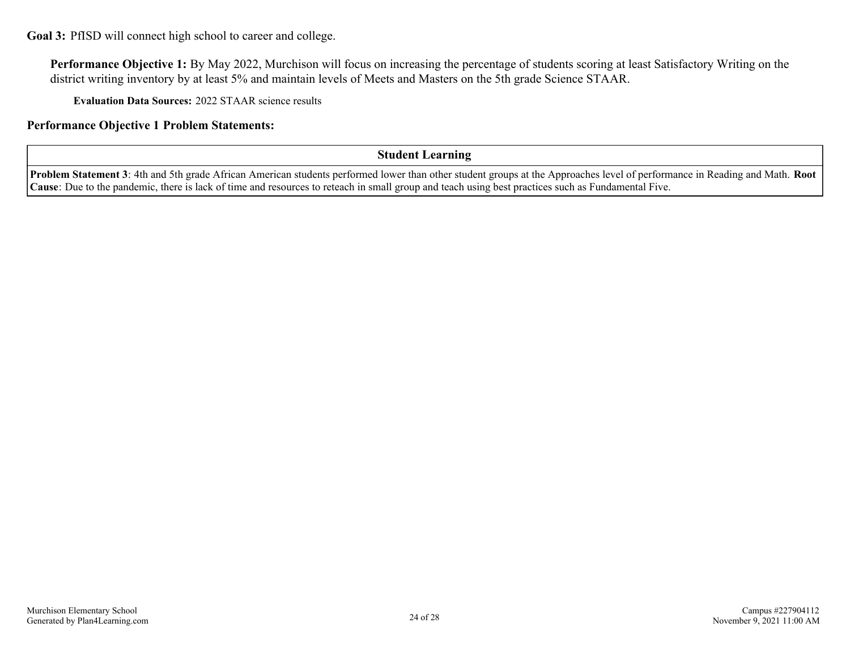<span id="page-23-0"></span>**Goal 3:** PfISD will connect high school to career and college.

**Performance Objective 1:** By May 2022, Murchison will focus on increasing the percentage of students scoring at least Satisfactory Writing on the district writing inventory by at least 5% and maintain levels of Meets and Masters on the 5th grade Science STAAR.

**Evaluation Data Sources:** 2022 STAAR science results

**Performance Objective 1 Problem Statements:**

### **Student Learning**

**Problem Statement 3**: 4th and 5th grade African American students performed lower than other student groups at the Approaches level of performance in Reading and Math. **Root Cause**: Due to the pandemic, there is lack of time and resources to reteach in small group and teach using best practices such as Fundamental Five.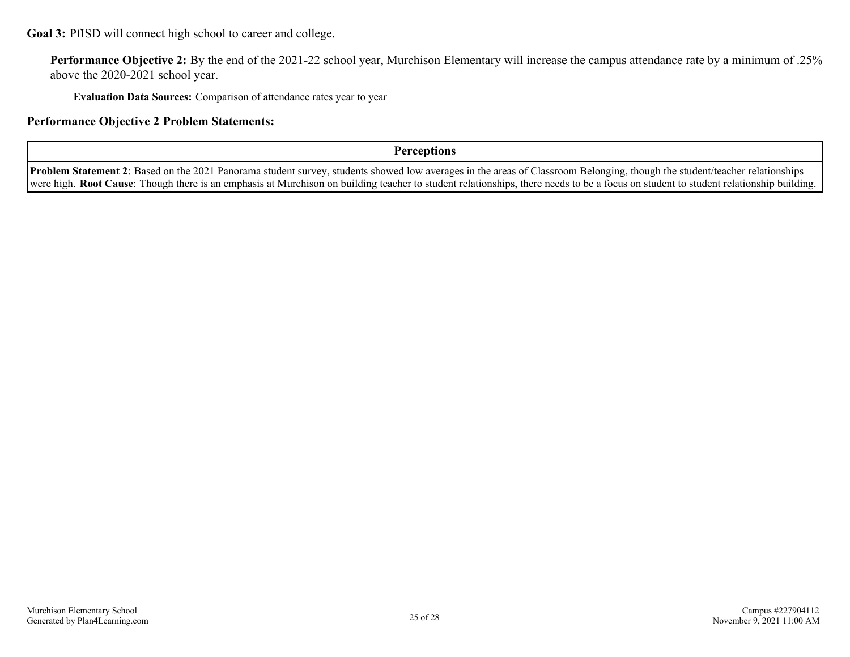**Goal 3:** PfISD will connect high school to career and college.

**Performance Objective 2:** By the end of the 2021-22 school year, Murchison Elementary will increase the campus attendance rate by a minimum of .25% above the 2020-2021 school year.

**Evaluation Data Sources:** Comparison of attendance rates year to year

**Performance Objective 2 Problem Statements:**

**Perceptions**

**Problem Statement 2**: Based on the 2021 Panorama student survey, students showed low averages in the areas of Classroom Belonging, though the student/teacher relationships were high. **Root Cause**: Though there is an emphasis at Murchison on building teacher to student relationships, there needs to be a focus on student to student relationship building.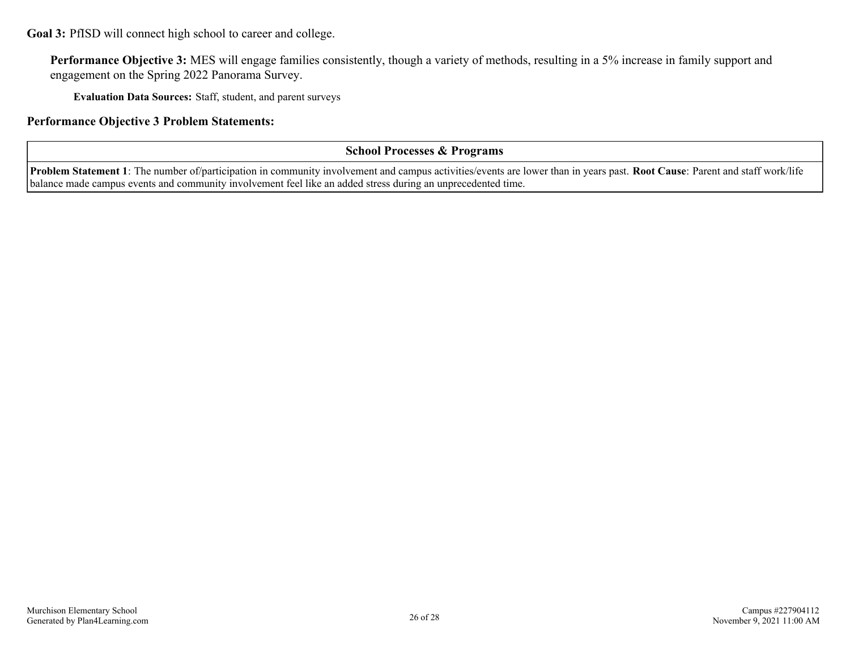**Goal 3:** PfISD will connect high school to career and college.

Performance Objective 3: MES will engage families consistently, though a variety of methods, resulting in a 5% increase in family support and engagement on the Spring 2022 Panorama Survey.

**Evaluation Data Sources:** Staff, student, and parent surveys

### **Performance Objective 3 Problem Statements:**

### **School Processes & Programs**

**Problem Statement 1**: The number of/participation in community involvement and campus activities/events are lower than in years past. **Root Cause**: Parent and staff work/life balance made campus events and community involvement feel like an added stress during an unprecedented time.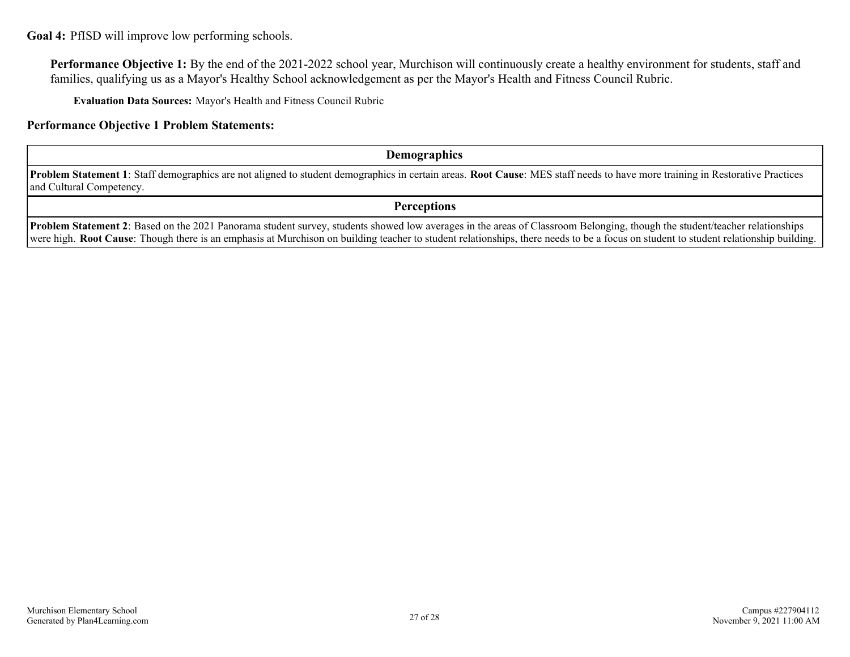### <span id="page-26-0"></span>**Goal 4:** PfISD will improve low performing schools.

**Performance Objective 1:** By the end of the 2021-2022 school year, Murchison will continuously create a healthy environment for students, staff and families, qualifying us as a Mayor's Healthy School acknowledgement as per the Mayor's Health and Fitness Council Rubric.

**Evaluation Data Sources:** Mayor's Health and Fitness Council Rubric

### **Performance Objective 1 Problem Statements:**

### **Demographics**

**Problem Statement 1**: Staff demographics are not aligned to student demographics in certain areas. **Root Cause**: MES staff needs to have more training in Restorative Practices and Cultural Competency.

**Perceptions**

**Problem Statement 2**: Based on the 2021 Panorama student survey, students showed low averages in the areas of Classroom Belonging, though the student/teacher relationships were high. **Root Cause**: Though there is an emphasis at Murchison on building teacher to student relationships, there needs to be a focus on student to student relationship building.